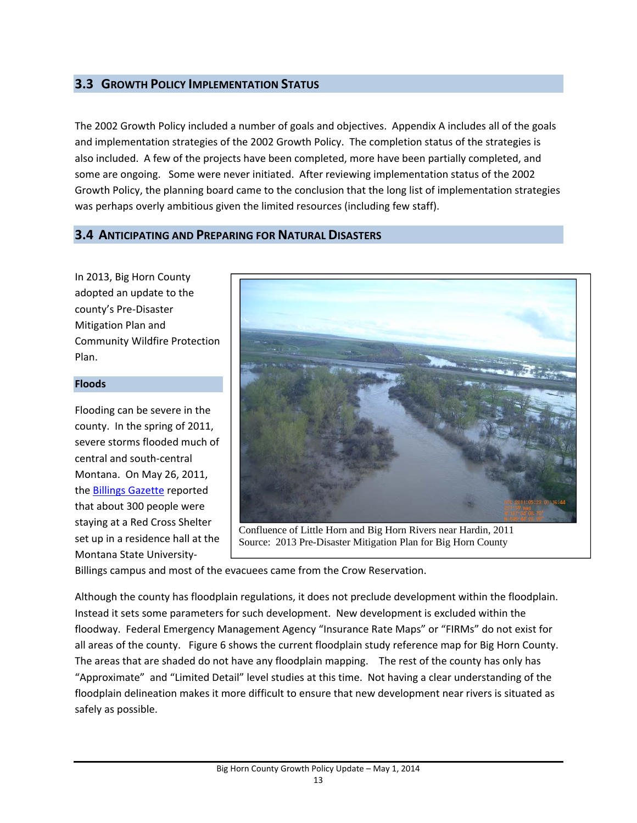## **3.3 GROWTH POLICY IMPLEMENTATION STATUS**

The 2002 Growth Policy included a number of goals and objectives. Appendix A includes all of the goals and implementation strategies of the 2002 Growth Policy. The completion status of the strategies is also included. A few of the projects have been completed, more have been partially completed, and some are ongoing. Some were never initiated. After reviewing implementation status of the 2002 Growth Policy, the planning board came to the conclusion that the long list of implementation strategies was perhaps overly ambitious given the limited resources (including few staff).

## **3.4 ANTICIPATING AND PREPARING FOR NATURAL DISASTERS**

In 2013, Big Horn County adopted an update to the county's Pre‐Disaster Mitigation Plan and Community Wildfire Protection Plan.

#### **Floods**

Flooding can be severe in the county. In the spring of 2011, severe storms flooded much of central and south‐central Montana. On May 26, 2011, the **Billings Gazette** reported that about 300 people were staying at a Red Cross Shelter set up in a residence hall at the Montana State University‐



Confluence of Little Horn and Big Horn Rivers near Hardin, 2011 Source: 2013 Pre-Disaster Mitigation Plan for Big Horn County

Billings campus and most of the evacuees came from the Crow Reservation.

Although the county has floodplain regulations, it does not preclude development within the floodplain. Instead it sets some parameters for such development. New development is excluded within the floodway. Federal Emergency Management Agency "Insurance Rate Maps" or "FIRMs" do not exist for all areas of the county. Figure 6 shows the current floodplain study reference map for Big Horn County. The areas that are shaded do not have any floodplain mapping. The rest of the county has only has "Approximate" and "Limited Detail" level studies at this time. Not having a clear understanding of the floodplain delineation makes it more difficult to ensure that new development near rivers is situated as safely as possible.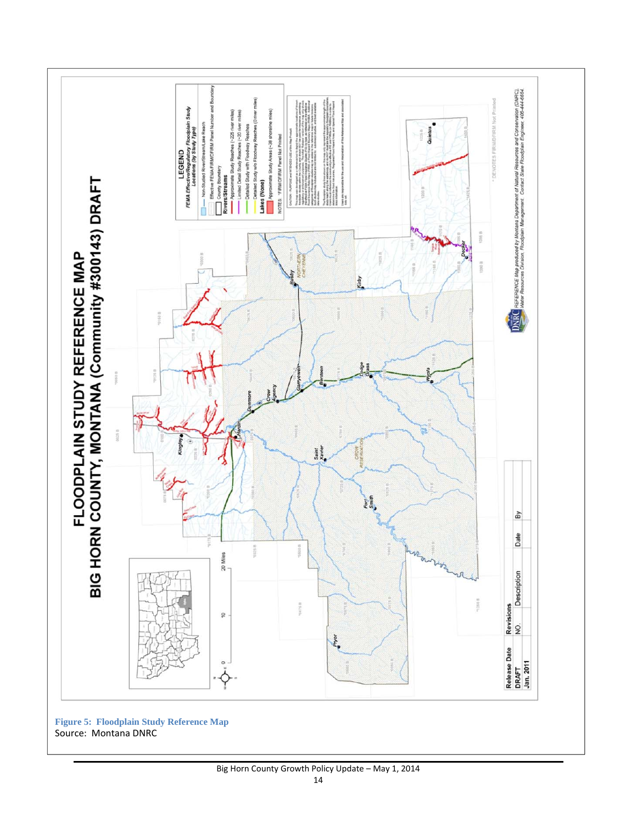

#### Big Horn County Growth Policy Update – May 1, 2014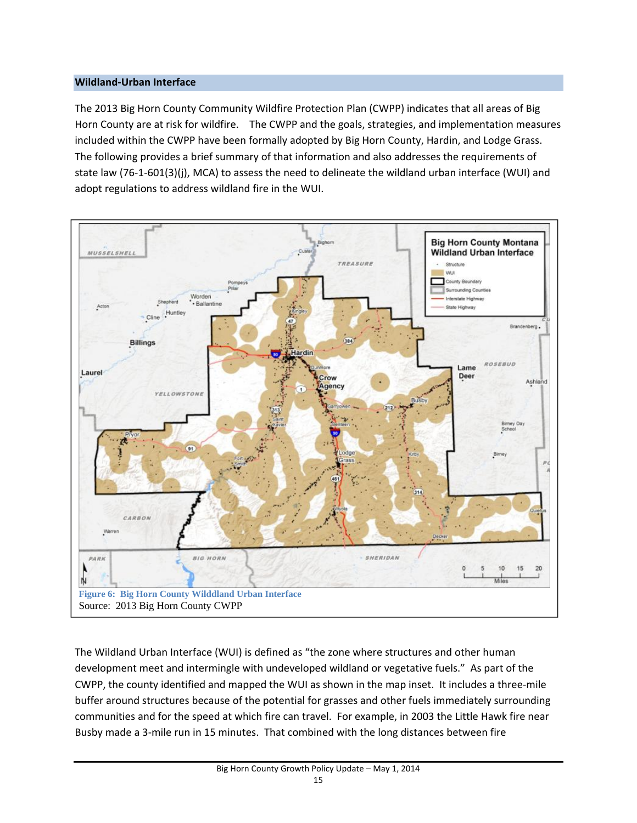#### **Wildland‐Urban Interface**

The 2013 Big Horn County Community Wildfire Protection Plan (CWPP) indicates that all areas of Big Horn County are at risk for wildfire. The CWPP and the goals, strategies, and implementation measures included within the CWPP have been formally adopted by Big Horn County, Hardin, and Lodge Grass. The following provides a brief summary of that information and also addresses the requirements of state law (76‐1‐601(3)(j), MCA) to assess the need to delineate the wildland urban interface (WUI) and adopt regulations to address wildland fire in the WUI.



The Wildland Urban Interface (WUI) is defined as "the zone where structures and other human development meet and intermingle with undeveloped wildland or vegetative fuels." As part of the CWPP, the county identified and mapped the WUI as shown in the map inset. It includes a three‐mile buffer around structures because of the potential for grasses and other fuels immediately surrounding communities and for the speed at which fire can travel. For example, in 2003 the Little Hawk fire near Busby made a 3‐mile run in 15 minutes. That combined with the long distances between fire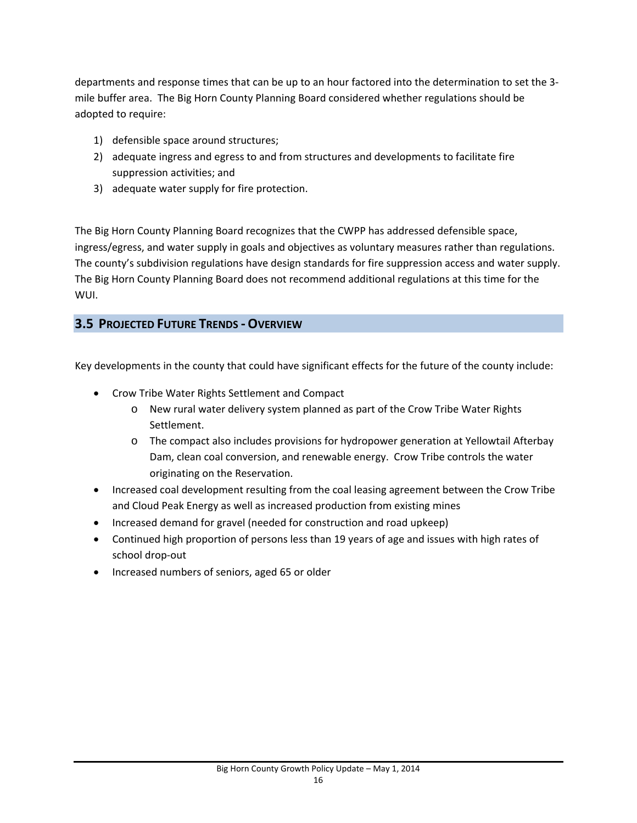departments and response times that can be up to an hour factored into the determination to set the 3‐ mile buffer area. The Big Horn County Planning Board considered whether regulations should be adopted to require:

- 1) defensible space around structures;
- 2) adequate ingress and egress to and from structures and developments to facilitate fire suppression activities; and
- 3) adequate water supply for fire protection.

The Big Horn County Planning Board recognizes that the CWPP has addressed defensible space, ingress/egress, and water supply in goals and objectives as voluntary measures rather than regulations. The county's subdivision regulations have design standards for fire suppression access and water supply. The Big Horn County Planning Board does not recommend additional regulations at this time for the WUI.

# **3.5 PROJECTED FUTURE TRENDS ‐ OVERVIEW**

Key developments in the county that could have significant effects for the future of the county include:

- Crow Tribe Water Rights Settlement and Compact
	- o New rural water delivery system planned as part of the Crow Tribe Water Rights Settlement.
	- o The compact also includes provisions for hydropower generation at Yellowtail Afterbay Dam, clean coal conversion, and renewable energy. Crow Tribe controls the water originating on the Reservation.
- Increased coal development resulting from the coal leasing agreement between the Crow Tribe and Cloud Peak Energy as well as increased production from existing mines
- Increased demand for gravel (needed for construction and road upkeep)
- Continued high proportion of persons less than 19 years of age and issues with high rates of school drop‐out
- Increased numbers of seniors, aged 65 or older